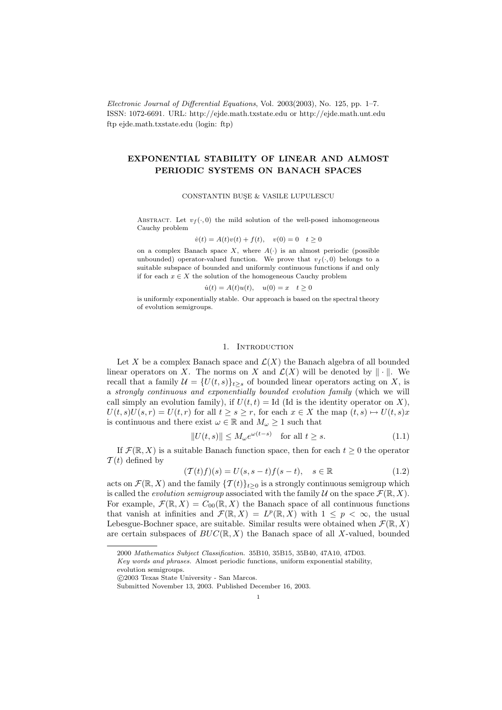Electronic Journal of Differential Equations, Vol. 2003(2003), No. 125, pp. 1–7. ISSN: 1072-6691. URL: http://ejde.math.txstate.edu or http://ejde.math.unt.edu ftp ejde.math.txstate.edu (login: ftp)

# EXPONENTIAL STABILITY OF LINEAR AND ALMOST PERIODIC SYSTEMS ON BANACH SPACES

#### CONSTANTIN BUSE & VASILE LUPULESCU

ABSTRACT. Let  $v_f(\cdot, 0)$  the mild solution of the well-posed inhomogeneous Cauchy problem

$$
\dot{v}(t) = A(t)v(t) + f(t), \quad v(0) = 0 \quad t \ge 0
$$

on a complex Banach space X, where  $A(\cdot)$  is an almost periodic (possible unbounded) operator-valued function. We prove that  $v_f(\cdot, 0)$  belongs to a suitable subspace of bounded and uniformly continuous functions if and only if for each  $x \in X$  the solution of the homogeneous Cauchy problem

$$
\dot{u}(t) = A(t)u(t), \quad u(0) = x \quad t \ge 0
$$

is uniformly exponentially stable. Our approach is based on the spectral theory of evolution semigroups.

## 1. INTRODUCTION

Let X be a complex Banach space and  $\mathcal{L}(X)$  the Banach algebra of all bounded linear operators on X. The norms on X and  $\mathcal{L}(X)$  will be denoted by  $\|\cdot\|$ . We recall that a family  $\mathcal{U} = \{U(t, s)\}_{t\geq s}$  of bounded linear operators acting on X, is a strongly continuous and exponentially bounded evolution family (which we will call simply an evolution family), if  $U(t, t) =$  Id (Id is the identity operator on X),  $U(t, s)U(s, r) = U(t, r)$  for all  $t \geq s \geq r$ , for each  $x \in X$  the map  $(t, s) \mapsto U(t, s)x$ is continuous and there exist  $\omega \in \mathbb{R}$  and  $M_{\omega} \geq 1$  such that

$$
||U(t,s)|| \le M_{\omega} e^{\omega(t-s)} \quad \text{for all } t \ge s. \tag{1.1}
$$

If  $\mathcal{F}(\mathbb{R}, X)$  is a suitable Banach function space, then for each  $t \geq 0$  the operator  $\mathcal{T}(t)$  defined by

$$
(\mathcal{T}(t)f)(s) = U(s, s-t)f(s-t), \quad s \in \mathbb{R}
$$
\n(1.2)

acts on  $\mathcal{F}(\mathbb{R}, X)$  and the family  $\{T(t)\}_{t>0}$  is a strongly continuous semigroup which is called the *evolution semigroup* associated with the family U on the space  $\mathcal{F}(\mathbb{R}, X)$ . For example,  $\mathcal{F}(\mathbb{R}, X) = C_{00}(\mathbb{R}, X)$  the Banach space of all continuous functions that vanish at infinities and  $\mathcal{F}(\mathbb{R},X) = L^p(\mathbb{R},X)$  with  $1 \leq p < \infty$ , the usual Lebesgue-Bochner space, are suitable. Similar results were obtained when  $\mathcal{F}(\mathbb{R}, X)$ are certain subspaces of  $BUC(\mathbb{R}, X)$  the Banach space of all X-valued, bounded

<sup>2000</sup> Mathematics Subject Classification. 35B10, 35B15, 35B40, 47A10, 47D03.

Key words and phrases. Almost periodic functions, uniform exponential stability,

evolution semigroups.

c 2003 Texas State University - San Marcos.

Submitted November 13, 2003. Published December 16, 2003.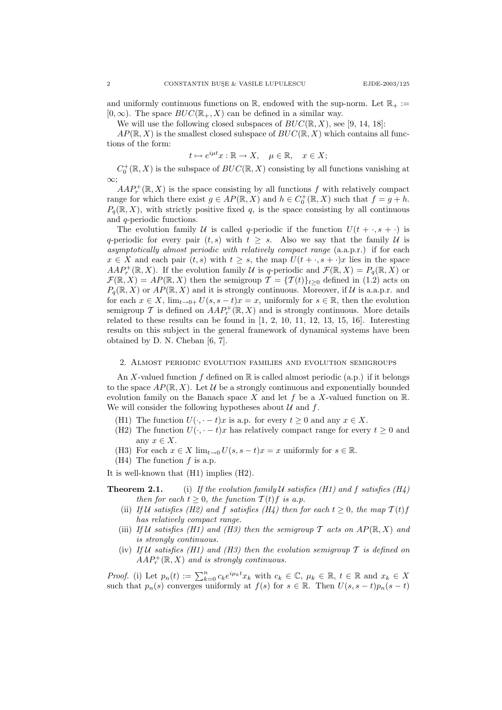and uniformly continuous functions on  $\mathbb{R}$ , endowed with the sup-norm. Let  $\mathbb{R}_+ :=$  $[0,\infty)$ . The space  $BUC(\mathbb{R}_+, X)$  can be defined in a similar way.

We will use the following closed subspaces of  $BUC(\mathbb{R}, X)$ , see [9, 14, 18]:

 $AP(\mathbb{R}, X)$  is the smallest closed subspace of  $BUC(\mathbb{R}, X)$  which contains all functions of the form:

$$
t \mapsto e^{i\mu t}x : \mathbb{R} \to X, \quad \mu \in \mathbb{R}, \quad x \in X;
$$

 $C_0^+(\mathbb{R},X)$  is the subspace of  $BUC(\mathbb{R},X)$  consisting by all functions vanishing at ∞;

 $AAP_r^+(\mathbb{R}, X)$  is the space consisting by all functions f with relatively compact range for which there exist  $g \in AP(\mathbb{R}, X)$  and  $h \in C_0^+(\mathbb{R}, X)$  such that  $f = g + h$ .  $P_q(\mathbb{R}, X)$ , with strictly positive fixed q, is the space consisting by all continuous and q-periodic functions.

The evolution family U is called q-periodic if the function  $U(t + \cdot, s + \cdot)$  is q-periodic for every pair  $(t, s)$  with  $t > s$ . Also we say that the family U is asymptotically almost periodic with relatively compact range (a.a.p.r.) if for each  $x \in X$  and each pair  $(t, s)$  with  $t \geq s$ , the map  $U(t + \cdot, s + \cdot)x$  lies in the space  $AAP_r^+(\mathbb{R}, X)$ . If the evolution family U is q-periodic and  $\mathcal{F}(\mathbb{R}, X) = P_q(\mathbb{R}, X)$  or  $\mathcal{F}(\mathbb{R}, X) = AP(\mathbb{R}, X)$  then the semigroup  $\mathcal{T} = {\{\mathcal{T}(t)\}}_{t\geq 0}$  defined in (1.2) acts on  $P_q(\mathbb{R}, X)$  or  $AP(\mathbb{R}, X)$  and it is strongly continuous. Moreover, if U is a.a.p.r. and for each  $x \in X$ ,  $\lim_{t \to 0+} U(s, s-t)x = x$ , uniformly for  $s \in \mathbb{R}$ , then the evolution semigroup T is defined on  $AAP_r^+(\mathbb{R}, X)$  and is strongly continuous. More details related to these results can be found in [1, 2, 10, 11, 12, 13, 15, 16]. Interesting results on this subject in the general framework of dynamical systems have been obtained by D. N. Cheban [6, 7].

### 2. Almost periodic evolution families and evolution semigroups

An X-valued function  $f$  defined on  $\mathbb R$  is called almost periodic (a.p.) if it belongs to the space  $AP(\mathbb{R}, X)$ . Let U be a strongly continuous and exponentially bounded evolution family on the Banach space X and let f be a X-valued function on  $\mathbb{R}$ . We will consider the following hypotheses about  $\mathcal U$  and  $f$ .

- (H1) The function  $U(\cdot, -t)x$  is a.p. for every  $t \geq 0$  and any  $x \in X$ .
- (H2) The function  $U(\cdot, \cdot t)x$  has relatively compact range for every  $t \geq 0$  and any  $x \in X$ .
- (H3) For each  $x \in X$  lim<sub> $t\to 0$ </sub>  $U(s, s-t)x = x$  uniformly for  $s \in \mathbb{R}$ .
- (H4) The function  $f$  is a.p.

It is well-known that (H1) implies (H2).

**Theorem 2.1.** (i) If the evolution family U satisfies (H1) and f satisfies (H4) then for each  $t > 0$ , the function  $T(t)$  f is a.p.

- (ii) If U satisfies (H2) and f satisfies (H4) then for each  $t \geq 0$ , the map  $T(t)f$ has relatively compact range.
- (iii) If U satisfies (H1) and (H3) then the semigroup  $\mathcal T$  acts on  $AP(\mathbb R, X)$  and is strongly continuous.
- (iv) If U satisfies (H1) and (H3) then the evolution semigroup  $\mathcal T$  is defined on  $AAP_r^+(\mathbb{R},X)$  and is strongly continuous.

*Proof.* (i) Let  $p_n(t) := \sum_{k=0}^n c_k e^{i\mu_k t} x_k$  with  $c_k \in \mathbb{C}$ ,  $\mu_k \in \mathbb{R}$ ,  $t \in \mathbb{R}$  and  $x_k \in X$ such that  $p_n(s)$  converges uniformly at  $f(s)$  for  $s \in \mathbb{R}$ . Then  $U(s, s-t)p_n(s-t)$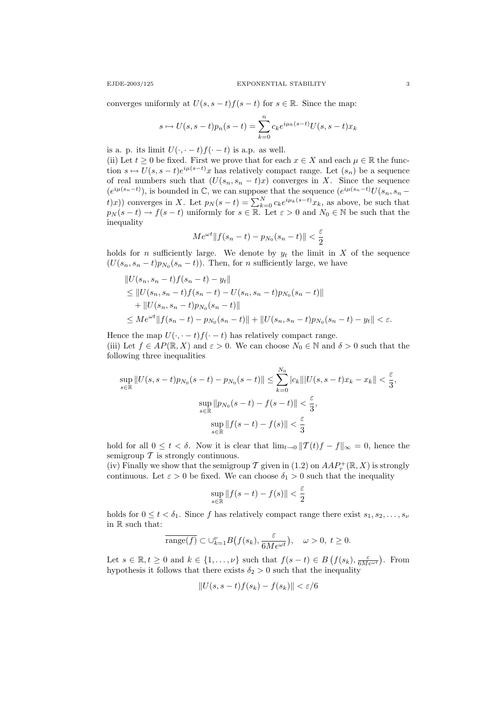converges uniformly at  $U(s, s-t)f(s-t)$  for  $s \in \mathbb{R}$ . Since the map:

$$
s \mapsto U(s, s-t)p_n(s-t) = \sum_{k=0}^{n} c_k e^{i\mu_k(s-t)} U(s, s-t)x_k
$$

is a. p. its limit  $U(\cdot, \cdot - t)f(\cdot - t)$  is a.p. as well.

(ii) Let  $t \geq 0$  be fixed. First we prove that for each  $x \in X$  and each  $\mu \in \mathbb{R}$  the function  $s \mapsto U(s, s-t)e^{i\mu(s-t)}x$  has relatively compact range. Let  $(s_n)$  be a sequence of real numbers such that  $(U(s_n, s_n - t)x)$  converges in X. Since the sequence  $(e^{i\mu(s_n-t)})$ , is bounded in  $\mathbb{C}$ , we can suppose that the sequence  $(e^{i\mu(s_n-t)}U(s_n, s_n-t))$ t)x)) converges in X. Let  $p_N(s-t) = \sum_{k=0}^{N} c_k e^{i\mu_k(s-t)} x_k$ , as above, be such that  $p_N(s-t) \to f(s-t)$  uniformly for  $s \in \mathbb{R}$ . Let  $\varepsilon > 0$  and  $N_0 \in \mathbb{N}$  be such that the inequality

$$
Me^{\omega t}||f(s_n-t) - p_{N_0}(s_n-t)|| < \frac{\varepsilon}{2}
$$

holds for *n* sufficiently large. We denote by  $y_t$  the limit in X of the sequence  $(U(s_n, s_n - t)p_{N_0}(s_n - t))$ . Then, for *n* sufficiently large, we have

$$
||U(s_n, s_n - t)f(s_n - t) - y_t||
$$
  
\n
$$
\leq ||U(s_n, s_n - t)f(s_n - t) - U(s_n, s_n - t)p_{N_0}(s_n - t)||
$$
  
\n
$$
+ ||U(s_n, s_n - t)p_{N_0}(s_n - t)||
$$
  
\n
$$
\leq Me^{\omega t}||f(s_n - t) - p_{N_0}(s_n - t)|| + ||U(s_n, s_n - t)p_{N_0}(s_n - t) - y_t|| < \varepsilon.
$$

Hence the map  $U(\cdot, \cdot - t)f(\cdot - t)$  has relatively compact range. (iii) Let  $f \in AP(\mathbb{R}, X)$  and  $\varepsilon > 0$ . We can choose  $N_0 \in \mathbb{N}$  and  $\delta > 0$  such that the following three inequalities

$$
\sup_{s \in \mathbb{R}} \|U(s, s - t) p_{N_0}(s - t) - p_{N_0}(s - t)\| \le \sum_{k=0}^{N_0} |c_k| \|U(s, s - t)x_k - x_k\| < \frac{\varepsilon}{3},
$$
\n
$$
\sup_{s \in \mathbb{R}} \|p_{N_0}(s - t) - f(s - t)\| < \frac{\varepsilon}{3},
$$
\n
$$
\sup_{s \in \mathbb{R}} \|f(s - t) - f(s)\| < \frac{\varepsilon}{3}
$$

hold for all  $0 \leq t < \delta$ . Now it is clear that  $\lim_{t\to 0} ||T(t)f - f||_{\infty} = 0$ , hence the semigroup  $\mathcal T$  is strongly continuous.

(iv) Finally we show that the semigroup  $\mathcal T$  given in (1.2) on  $AAP_r^+(\mathbb R, X)$  is strongly continuous. Let  $\varepsilon > 0$  be fixed. We can choose  $\delta_1 > 0$  such that the inequality

$$
\sup_{s\in\mathbb{R}}\|f(s-t)-f(s)\|<\frac{\varepsilon}{2}
$$

holds for  $0 \leq t < \delta_1$ . Since f has relatively compact range there exist  $s_1, s_2, \ldots, s_{\nu}$ in R such that:

$$
\overline{\text{range}(f)} \subset \cup_{k=1}^{\nu} B\big(f(s_k), \frac{\varepsilon}{6M e^{\omega t}}\big), \quad \omega > 0, \ t \geq 0.
$$

Let  $s \in \mathbb{R}, t \geq 0$  and  $k \in \{1, ..., \nu\}$  such that  $f(s-t) \in B(f(s_k), \frac{\varepsilon}{6Me^{\omega t}})$ . From hypothesis it follows that there exists  $\delta_2 > 0$  such that the inequality

$$
||U(s, s-t)f(s_k) - f(s_k)|| < \varepsilon/6
$$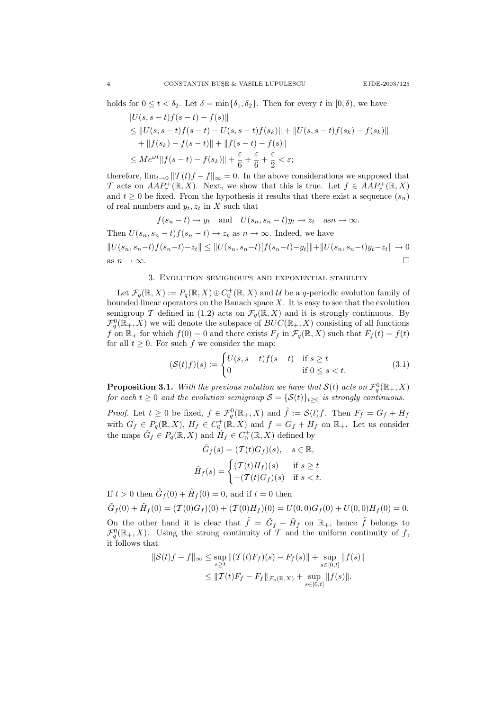holds for  $0 \le t < \delta_2$ . Let  $\delta = \min{\{\delta_1, \delta_2\}}$ . Then for every t in  $[0, \delta)$ , we have

$$
||U(s, s-t)f(s-t) - f(s)||
$$
  
\n
$$
\leq ||U(s, s-t)f(s-t) - U(s, s-t)f(s_k)|| + ||U(s, s-t)f(s_k) - f(s_k)||
$$
  
\n
$$
+ ||f(s_k) - f(s-t)|| + ||f(s-t) - f(s)||
$$
  
\n
$$
\leq Me^{\omega t}||f(s-t) - f(s_k)|| + \frac{\varepsilon}{6} + \frac{\varepsilon}{6} + \frac{\varepsilon}{2} < \varepsilon;
$$

therefore,  $\lim_{t\to 0} ||T(t)f - f||_{\infty} = 0$ . In the above considerations we supposed that T acts on  $AAP_r^+(\mathbb{R}, X)$ . Next, we show that this is true. Let  $f \in AAP_r^+(\mathbb{R}, X)$ and  $t \geq 0$  be fixed. From the hypothesis it results that there exist a sequence  $(s_n)$ of real numbers and  $y_t, z_t$  in X such that

$$
f(s_n - t) \to y_t \quad \text{and} \quad U(s_n, s_n - t)y_t \to z_t \quad \text{as} \quad n \to \infty.
$$
  
Then  $U(s_n, s_n - t)f(s_n - t) \to z_t$  as  $n \to \infty$ . Indeed, we have  

$$
||U(s_n, s_n - t)f(s_n - t) - z_t|| \le ||U(s_n, s_n - t)[f(s_n - t) - y_t]|| + ||U(s_n, s_n - t)y_t - z_t|| \to 0
$$
  
as  $n \to \infty$ .

#### 3. Evolution semigroups and exponential stability

Let  $\mathcal{F}_q(\mathbb{R}, X) := P_q(\mathbb{R}, X) \oplus C_0^+(\mathbb{R}, X)$  and U be a q-periodic evolution family of bounded linear operators on the Banach space  $X$ . It is easy to see that the evolution semigroup T defined in (1.2) acts on  $\mathcal{F}_q(\mathbb{R}, X)$  and it is strongly continuous. By  $\mathcal{F}_{q}^{0}(\mathbb{R}_{+},X)$  we will denote the subspace of  $BUC(\mathbb{R}_{+},X)$  consisting of all functions f on  $\mathbb{R}_+$  for which  $f(0) = 0$  and there exists  $F_f$  in  $\mathcal{F}_q(\mathbb{R}, X)$  such that  $F_f(t) = f(t)$ for all  $t \geq 0$ . For such f we consider the map:

$$
(\mathcal{S}(t)f)(s) := \begin{cases} U(s, s-t)f(s-t) & \text{if } s \ge t \\ 0 & \text{if } 0 \le s < t. \end{cases}
$$
 (3.1)

**Proposition 3.1.** With the previous notation we have that  $\mathcal{S}(t)$  acts on  $\mathcal{F}_q^0(\mathbb{R}_+,X)$ for each  $t \geq 0$  and the evolution semigroup  $S = \{S(t)\}_{t\geq 0}$  is strongly continuous.

*Proof.* Let  $t \geq 0$  be fixed,  $f \in \mathcal{F}_q^0(\mathbb{R}_+, X)$  and  $\tilde{f} := \mathcal{S}(t)f$ . Then  $F_f = G_f + H_f$ with  $G_f \in P_q(\mathbb{R}, X)$ ,  $H_f \in C_0^+(\mathbb{R}, X)$  and  $f = G_f + H_f$  on  $\mathbb{R}_+$ . Let us consider the maps  $\tilde{G}_f \in P_q(\mathbb{R}, X)$  and  $\tilde{H}_f \in C_0^+(\mathbb{R}, X)$  defined by

$$
\tilde{G}_f(s) = (\mathcal{T}(t)G_f)(s), \quad s \in \mathbb{R},
$$

$$
\tilde{H}_f(s) = \begin{cases} (\mathcal{T}(t)H_f)(s) & \text{if } s \ge t \\ -(\mathcal{T}(t)G_f)(s) & \text{if } s < t. \end{cases}
$$

If  $t > 0$  then  $\tilde{G}_f(0) + \tilde{H}_f(0) = 0$ , and if  $t = 0$  then

$$
\tilde{G}_f(0) + \tilde{H}_f(0) = (\mathcal{T}(0)G_f)(0) + (\mathcal{T}(0)H_f)(0) = U(0,0)G_f(0) + U(0,0)H_f(0) = 0.
$$

On the other hand it is clear that  $\tilde{f} = \tilde{G}_f + \tilde{H}_f$  on  $\mathbb{R}_+$ , hence  $\tilde{f}$  belongs to  $\mathcal{F}_{q}^{0}(\mathbb{R}_{+},X)$ . Using the strong continuity of T and the uniform continuity of f, it follows that

$$
\|S(t)f - f\|_{\infty} \le \sup_{s \ge t} \|(\mathcal{T}(t)F_f)(s) - F_f(s)\| + \sup_{s \in [0,t]} \|f(s)\|
$$
  

$$
\le \|\mathcal{T}(t)F_f - F_f\|_{\mathcal{F}_q(\mathbb{R},X)} + \sup_{s \in [0,t]} \|f(s)\|.
$$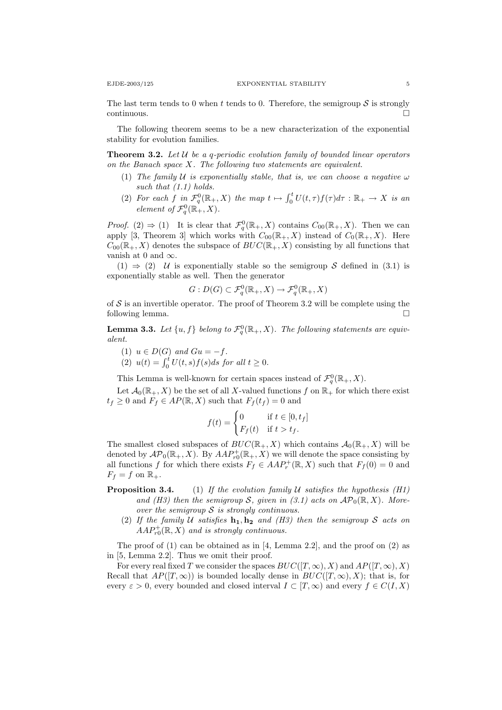The last term tends to 0 when t tends to 0. Therefore, the semigroup  $S$  is strongly  $\Box$ continuous.

The following theorem seems to be a new characterization of the exponential stability for evolution families.

**Theorem 3.2.** Let  $U$  be a q-periodic evolution family of bounded linear operators on the Banach space X. The following two statements are equivalent.

- (1) The family U is exponentially stable, that is, we can choose a negative  $\omega$ such that  $(1.1)$  holds.
- (2) For each f in  $\mathcal{F}_q^0(\mathbb{R}_+, X)$  the map  $t \mapsto \int_0^t U(t, \tau) f(\tau) d\tau : \mathbb{R}_+ \to X$  is an element of  $\mathcal{F}_q^0(\mathbb{R}_+^-, X)$ .

*Proof.* (2)  $\Rightarrow$  (1) It is clear that  $\mathcal{F}_{q}^{0}(\mathbb{R}_{+}, X)$  contains  $C_{00}(\mathbb{R}_{+}, X)$ . Then we can apply [3, Theorem 3] which works with  $C_{00}(\mathbb{R}_+, X)$  instead of  $C_0(\mathbb{R}_+, X)$ . Here  $C_{00}(\mathbb{R}_{+}, X)$  denotes the subspace of  $BUC(\mathbb{R}_{+}, X)$  consisting by all functions that vanish at 0 and  $\infty$ .

 $(1) \Rightarrow (2)$  U is exponentially stable so the semigroup S defined in  $(3.1)$  is exponentially stable as well. Then the generator

$$
G: D(G) \subset \mathcal{F}_q^0(\mathbb{R}_+, X) \to \mathcal{F}_q^0(\mathbb{R}_+, X)
$$

of  $S$  is an invertible operator. The proof of Theorem 3.2 will be complete using the following lemma.

**Lemma 3.3.** Let  $\{u, f\}$  belong to  $\mathcal{F}_q^0(\mathbb{R}_+, X)$ . The following statements are equivalent.

(1)  $u \in D(G)$  and  $Gu = -f$ . (2)  $u(t) = \int_0^t U(t, s) f(s) ds$  for all  $t \ge 0$ .

This Lemma is well-known for certain spaces instead of  $\mathcal{F}_q^0(\mathbb{R}_+, X)$ .

Let  $\mathcal{A}_0(\mathbb{R}_+, X)$  be the set of all X-valued functions f on  $\mathbb{R}_+$  for which there exist  $t_f \geq 0$  and  $F_f \in AP(\mathbb{R}, X)$  such that  $F_f(t_f) = 0$  and

$$
f(t) = \begin{cases} 0 & \text{if } t \in [0, t_f] \\ F_f(t) & \text{if } t > t_f. \end{cases}
$$

The smallest closed subspaces of  $BUC(\mathbb{R}_+, X)$  which contains  $\mathcal{A}_0(\mathbb{R}_+, X)$  will be denoted by  $\mathcal{AP}_0(\mathbb{R}_+, X)$ . By  $AAP_{r0}^+(\mathbb{R}_+, X)$  we will denote the space consisting by all functions f for which there exists  $F_f \in AAP_r^+(\mathbb{R}, X)$  such that  $F_f(0) = 0$  and  $F_f = f$  on  $\mathbb{R}_+$ .

- **Proposition 3.4.** (1) If the evolution family U satisfies the hypothesis (H1) and (H3) then the semigroup S, given in (3.1) acts on  $\mathcal{AP}_0(\mathbb{R}, X)$ . Moreover the semigroup  $S$  is strongly continuous.
	- (2) If the family U satisfies  $\mathbf{h}_1, \mathbf{h}_2$  and (H3) then the semigroup S acts on  $AAP_{r0}^{+}(\mathbb{R}, X)$  and is strongly continuous.

The proof of (1) can be obtained as in [4, Lemma 2.2], and the proof on (2) as in [5, Lemma 2.2]. Thus we omit their proof.

For every real fixed T we consider the spaces  $BUC([T,\infty), X)$  and  $AP([T,\infty), X)$ Recall that  $AP([T,\infty))$  is bounded locally dense in  $BUC([T,\infty),X)$ ; that is, for every  $\varepsilon > 0$ , every bounded and closed interval  $I \subset [T, \infty)$  and every  $f \in C(I, X)$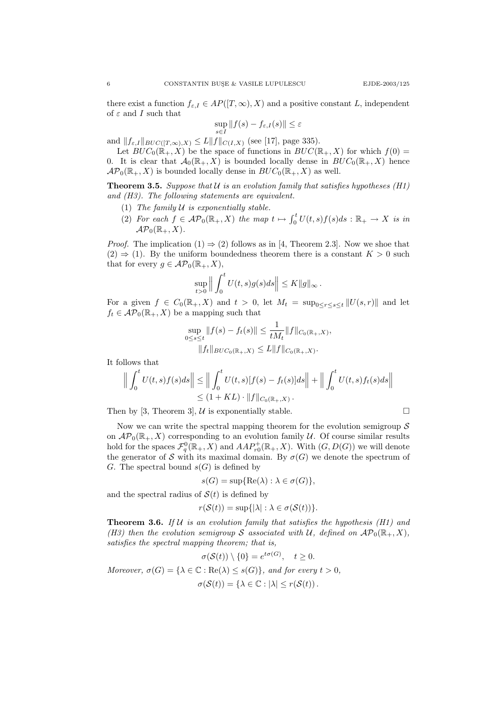there exist a function  $f_{\varepsilon,I} \in AP([T,\infty),X)$  and a positive constant L, independent of  $\varepsilon$  and  $I$  such that

$$
\sup_{s \in I} \|f(s) - f_{\varepsilon,I}(s)\| \le \varepsilon
$$

and  $||f_{\varepsilon,I}||_{BUC([T ,\infty),X)} \leq L||f||_{C(I,X)}$  (see [17], page 335).

Let  $BUC_0(\mathbb{R}_+, X)$  be the space of functions in  $BUC(\mathbb{R}_+, X)$  for which  $f(0)$ 0. It is clear that  $\mathcal{A}_0(\mathbb{R}_+, X)$  is bounded locally dense in  $BUC_0(\mathbb{R}_+, X)$  hence  $\mathcal{AP}_0(\mathbb{R}_+, X)$  is bounded locally dense in  $BUC_0(\mathbb{R}_+, X)$  as well.

**Theorem 3.5.** Suppose that  $U$  is an evolution family that satisfies hypotheses (H1) and (H3). The following statements are equivalent.

- (1) The family  $U$  is exponentially stable.
- (2) For each  $f \in \mathcal{AP}_0(\mathbb{R}_+, X)$  the map  $t \mapsto \int_0^t U(t, s) f(s) ds : \mathbb{R}_+ \to X$  is in  $\mathcal{AP}_0(\mathbb{R}_+, X)$ .

*Proof.* The implication  $(1) \Rightarrow (2)$  follows as in [4, Theorem 2.3]. Now we shoe that  $(2) \Rightarrow (1)$ . By the uniform boundedness theorem there is a constant  $K > 0$  such that for every  $g \in \mathcal{AP}_0(\mathbb{R}_+, X)$ ,

$$
\sup_{t>0} \left\| \int_0^t U(t,s)g(s)ds \right\| \leq K \|g\|_{\infty}.
$$

For a given  $f \in C_0(\mathbb{R}_+, X)$  and  $t > 0$ , let  $M_t = \sup_{0 \leq r \leq s \leq t} ||U(s,r)||$  and let  $f_t \in \mathcal{AP}_0(\mathbb{R}_+, X)$  be a mapping such that

$$
\sup_{0 \le s \le t} ||f(s) - f_t(s)|| \le \frac{1}{tM_t} ||f||_{C_0(\mathbb{R}_+, X)},
$$
  
 
$$
||f_t||_{BUC_0(\mathbb{R}_+, X)} \le L ||f||_{C_0(\mathbb{R}_+, X)}.
$$

It follows that

$$
\left\| \int_0^t U(t,s)f(s)ds \right\| \le \left\| \int_0^t U(t,s)[f(s) - f_t(s)]ds \right\| + \left\| \int_0^t U(t,s)f_t(s)ds \right\| \le (1 + KL) \cdot \|f\|_{C_0(\mathbb{R}_+,X)}.
$$

Then by [3, Theorem 3],  $\mathcal U$  is exponentially stable.

Now we can write the spectral mapping theorem for the evolution semigroup  $S$ on  $\mathcal{AP}_0(\mathbb{R}_+, X)$  corresponding to an evolution family U. Of course similar results hold for the spaces  $\mathcal{F}_{q}^{0}(\mathbb{R}_{+},X)$  and  $AAP_{r0}^{+}(\mathbb{R}_{+},X)$ . With  $(G,D(G))$  we will denote the generator of S with its maximal domain. By  $\sigma(G)$  we denote the spectrum of G. The spectral bound  $s(G)$  is defined by

$$
s(G) = \sup\{\text{Re}(\lambda) : \lambda \in \sigma(G)\},
$$

and the spectral radius of  $S(t)$  is defined by

$$
r(\mathcal{S}(t)) = \sup\{|\lambda| : \lambda \in \sigma(\mathcal{S}(t))\}.
$$

**Theorem 3.6.** If U is an evolution family that satisfies the hypothesis (H1) and (H3) then the evolution semigroup S associated with U, defined on  $\mathcal{AP}_0(\mathbb{R}_+, X)$ , satisfies the spectral mapping theorem; that is,

$$
\sigma(\mathcal{S}(t)) \setminus \{0\} = e^{t\sigma(G)}, \quad t \ge 0.
$$
  
Moreover,  $\sigma(G) = \{\lambda \in \mathbb{C} : \text{Re}(\lambda) \le s(G)\}, \text{ and for every } t > 0,$   

$$
\sigma(\mathcal{S}(t)) = \{\lambda \in \mathbb{C} : |\lambda| \le r(\mathcal{S}(t)).
$$